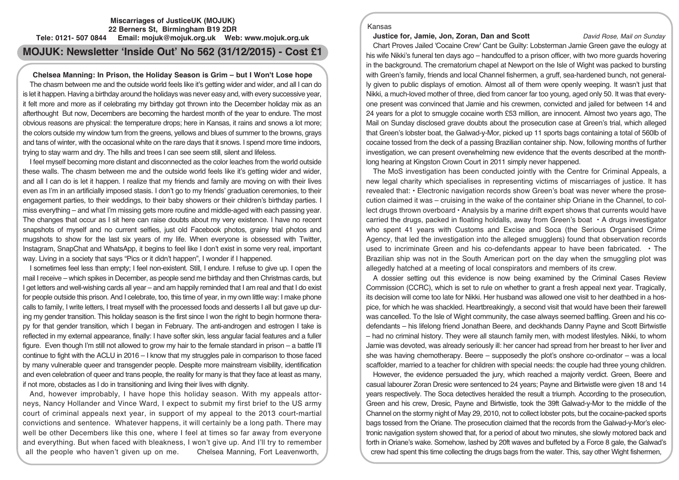### **Miscarriages of JusticeUK (MOJUK) 22 Berners St, Birmingham B19 2DR Tele: 0121- 507 0844 Email: mojuk@mojuk.org.uk Web: www.mojuk.org.uk**

# **MOJUK: Newsletter 'Inside Out' No 562 (31/12/2015) - Cost £1**

### **Chelsea Manning: In Prison, the Holiday Season is Grim – but I Won't Lose hope**

The chasm between me and the outside world feels like it's getting wider and wider, and all I can do is let it happen. Having a birthday around the holidays was never easy and, with every successive year, it felt more and more as if celebrating my birthday got thrown into the December holiday mix as an afterthought But now, Decembers are becoming the hardest month of the year to endure. The most obvious reasons are physical: the temperature drops; here in Kansas, it rains and snows a lot more; the colors outside my window turn from the greens, yellows and blues of summer to the browns, grays and tans of winter, with the occasional white on the rare days that it snows. I spend more time indoors, trying to stay warm and dry. The hills and trees I can see seem still, silent and lifeless.

I feel myself becoming more distant and disconnected as the color leaches from the world outside these walls. The chasm between me and the outside world feels like it's getting wider and wider, and all I can do is let it happen. I realize that my friends and family are moving on with their lives even as I'm in an artificially imposed stasis. I don't go to my friends' graduation ceremonies, to their engagement parties, to their weddings, to their baby showers or their children's birthday parties. I miss everything – and what I'm missing gets more routine and middle-aged with each passing year. The changes that occur as I sit here can raise doubts about my very existence. I have no recent snapshots of myself and no current selfies, just old Facebook photos, grainy trial photos and mugshots to show for the last six years of my life. When everyone is obsessed with Twitter, Instagram, SnapChat and WhatsApp, it begins to feel like I don't exist in some very real, important way. Living in a society that says "Pics or it didn't happen", I wonder if I happened.

I sometimes feel less than empty; I feel non-existent. Still, I endure. I refuse to give up. I open the mail I receive – which spikes in December, as people send me birthday and then Christmas cards, but I get letters and well-wishing cards all year – and am happily reminded that I am real and that I do exist for people outside this prison. And I celebrate, too, this time of year, in my own little way: I make phone calls to family, I write letters, I treat myself with the processed foods and desserts I all but gave up during my gender transition. This holiday season is the first since I won the right to begin hormone therapy for that gender transition, which I began in February. The anti-androgen and estrogen I take is reflected in my external appearance, finally: I have softer skin, less angular facial features and a fuller figure. Even though I'm still not allowed to grow my hair to the female standard in prison – a battle I'll continue to fight with the ACLU in 2016 – I know that my struggles pale in comparison to those faced by many vulnerable queer and transgender people. Despite more mainstream visibility, identification and even celebration of queer and trans people, the reality for many is that they face at least as many, if not more, obstacles as I do in transitioning and living their lives with dignity.

And, however improbably, I have hope this holiday season. With my appeals attorneys, Nancy Hollander and Vince Ward, I expect to submit my first brief to the US army court of criminal appeals next year, in support of my appeal to the 2013 court-martial convictions and sentence. Whatever happens, it will certainly be a long path. There may well be other Decembers like this one, where I feel at times so far away from everyone and everything. But when faced with bleakness, I won't give up. And I'll try to remember all the people who haven't given up on me. Chelsea Manning, Fort Leavenworth,

## Kansas

**Justice for, Jamie, Jon, Zoran, Dan and Scott** *David Rose, Mail on Sunday*

Chart Proves Jailed 'Cocaine Crew' Cant be Guilty: Lobsterman Jamie Green gave the eulogy at his wife Nikki's funeral ten days ago – handcuffed to a prison officer, with two more guards hovering in the background. The crematorium chapel at Newport on the Isle of Wight was packed to bursting with Green's family, friends and local Channel fishermen, a gruff, sea-hardened bunch, not generally given to public displays of emotion. Almost all of them were openly weeping. It wasn't just that Nikki, a much-loved mother of three, died from cancer far too young, aged only 50. It was that everyone present was convinced that Jamie and his crewmen, convicted and jailed for between 14 and 24 years for a plot to smuggle cocaine worth £53 million, are innocent. Almost two years ago, The Mail on Sunday disclosed grave doubts about the prosecution case at Green's trial, which alleged that Green's lobster boat, the Galwad-y-Mor, picked up 11 sports bags containing a total of 560lb of cocaine tossed from the deck of a passing Brazilian container ship. Now, following months of further investigation, we can present overwhelming new evidence that the events described at the monthlong hearing at Kingston Crown Court in 2011 simply never happened.

The MoS investigation has been conducted jointly with the Centre for Criminal Appeals, a new legal charity which specialises in representing victims of miscarriages of justice. It has revealed that: • Electronic navigation records show Green's boat was never where the prosecution claimed it was – cruising in the wake of the container ship Oriane in the Channel, to collect drugs thrown overboard • Analysis by a marine drift expert shows that currents would have carried the drugs, packed in floating holdalls, away from Green's boat  $\cdot$  A drugs investigator who spent 41 years with Customs and Excise and Soca (the Serious Organised Crime Agency, that led the investigation into the alleged smugglers) found that observation records used to incriminate Green and his co-defendants appear to have been fabricated. • The Brazilian ship was not in the South American port on the day when the smuggling plot was allegedly hatched at a meeting of local conspirators and members of its crew.

A dossier setting out this evidence is now being examined by the Criminal Cases Review Commission (CCRC), which is set to rule on whether to grant a fresh appeal next year. Tragically, its decision will come too late for Nikki. Her husband was allowed one visit to her deathbed in a hospice, for which he was shackled. Heartbreakingly, a second visit that would have been their farewell was cancelled. To the Isle of Wight community, the case always seemed baffling. Green and his codefendants – his lifelong friend Jonathan Beere, and deckhands Danny Payne and Scott Birtwistle – had no criminal history. They were all staunch family men, with modest lifestyles. Nikki, to whom Jamie was devoted, was already seriously ill: her cancer had spread from her breast to her liver and she was having chemotherapy. Beere – supposedly the plot's onshore co-ordinator – was a local scaffolder, married to a teacher for children with special needs: the couple had three young children.

However, the evidence persuaded the jury, which reached a majority verdict. Green, Beere and casual labourer Zoran Dresic were sentenced to 24 years; Payne and Birtwistle were given 18 and 14 years respectively. The Soca detectives heralded the result a triumph. According to the prosecution, Green and his crew, Dresic, Payne and Birtwistle, took the 39ft Galwad-y-Mor to the middle of the Channel on the stormy night of May 29, 2010, not to collect lobster pots, but the cocaine-packed sports bags tossed from the Oriane. The prosecution claimed that the records from the Galwad-y-Mor's electronic navigation system showed that, for a period of about two minutes, she slowly motored back and forth in Oriane's wake. Somehow, lashed by 20ft waves and buffeted by a Force 8 gale, the Galwad's crew had spent this time collecting the drugs bags from the water. This, say other Wight fishermen,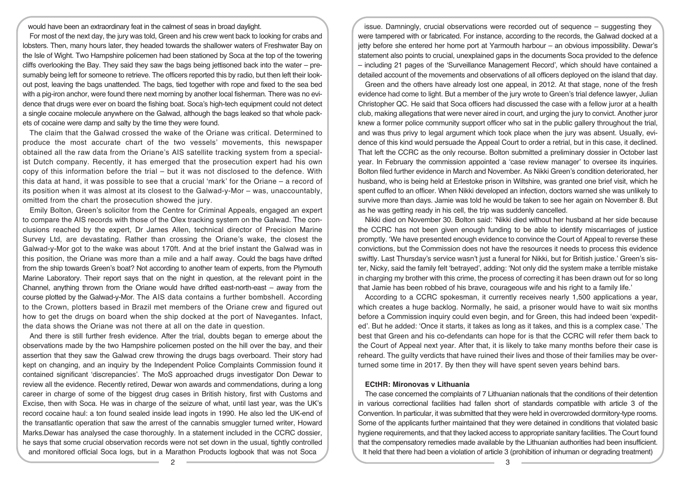would have been an extraordinary feat in the calmest of seas in broad daylight.

For most of the next day, the jury was told, Green and his crew went back to looking for crabs and lobsters. Then, many hours later, they headed towards the shallower waters of Freshwater Bay on the Isle of Wight. Two Hampshire policemen had been stationed by Soca at the top of the towering cliffs overlooking the Bay. They said they saw the bags being jettisoned back into the water – presumably being left for someone to retrieve. The officers reported this by radio, but then left their lookout post, leaving the bags unattended. The bags, tied together with rope and fixed to the sea bed with a pig-iron anchor, were found there next morning by another local fisherman. There was no evidence that drugs were ever on board the fishing boat. Soca's high-tech equipment could not detect a single cocaine molecule anywhere on the Galwad, although the bags leaked so that whole packets of cocaine were damp and salty by the time they were found.

The claim that the Galwad crossed the wake of the Oriane was critical. Determined to produce the most accurate chart of the two vessels' movements, this newspaper obtained all the raw data from the Oriane's AIS satellite tracking system from a specialist Dutch company. Recently, it has emerged that the prosecution expert had his own copy of this information before the trial – but it was not disclosed to the defence. With this data at hand, it was possible to see that a crucial 'mark' for the Oriane – a record of its position when it was almost at its closest to the Galwad-y-Mor – was, unaccountably, omitted from the chart the prosecution showed the jury.

Emily Bolton, Green's solicitor from the Centre for Criminal Appeals, engaged an expert to compare the AIS records with those of the Olex tracking system on the Galwad. The conclusions reached by the expert, Dr James Allen, technical director of Precision Marine Survey Ltd, are devastating. Rather than crossing the Oriane's wake, the closest the Galwad-y-Mor got to the wake was about 170ft. And at the brief instant the Galwad was in this position, the Oriane was more than a mile and a half away. Could the bags have drifted from the ship towards Green's boat? Not according to another team of experts, from the Plymouth Marine Laboratory. Their report says that on the night in question, at the relevant point in the Channel, anything thrown from the Oriane would have drifted east-north-east – away from the course plotted by the Galwad-y-Mor. The AIS data contains a further bombshell. According to the Crown, plotters based in Brazil met members of the Oriane crew and figured out how to get the drugs on board when the ship docked at the port of Navegantes. Infact, the data shows the Oriane was not there at all on the date in question.

And there is still further fresh evidence. After the trial, doubts began to emerge about the observations made by the two Hampshire policemen posted on the hill over the bay, and their assertion that they saw the Galwad crew throwing the drugs bags overboard. Their story had kept on changing, and an inquiry by the Independent Police Complaints Commission found it contained significant 'discrepancies'. The MoS approached drugs investigator Don Dewar to review all the evidence. Recently retired, Dewar won awards and commendations, during a long career in charge of some of the biggest drug cases in British history, first with Customs and Excise, then with Soca. He was in charge of the seizure of what, until last year, was the UK's record cocaine haul: a ton found sealed inside lead ingots in 1990. He also led the UK-end of the transatlantic operation that saw the arrest of the cannabis smuggler turned writer, Howard Marks.Dewar has analysed the case thoroughly. In a statement included in the CCRC dossier, he says that some crucial observation records were not set down in the usual, tightly controlled and monitored official Soca logs, but in a Marathon Products logbook that was not Soca

issue. Damningly, crucial observations were recorded out of sequence – suggesting they were tampered with or fabricated. For instance, according to the records, the Galwad docked at a jetty before she entered her home port at Yarmouth harbour – an obvious impossibility. Dewar's statement also points to crucial, unexplained gaps in the documents Soca provided to the defence – including 21 pages of the 'Surveillance Management Record', which should have contained a detailed account of the movements and observations of all officers deployed on the island that day.

Green and the others have already lost one appeal, in 2012. At that stage, none of the fresh evidence had come to light. But a member of the jury wrote to Green's trial defence lawyer, Julian Christopher QC. He said that Soca officers had discussed the case with a fellow juror at a health club, making allegations that were never aired in court, and urging the jury to convict. Another juror knew a former police community support officer who sat in the public gallery throughout the trial, and was thus privy to legal argument which took place when the jury was absent. Usually, evidence of this kind would persuade the Appeal Court to order a retrial, but in this case, it declined. That left the CCRC as the only recourse. Bolton submitted a preliminary dossier in October last year. In February the commission appointed a 'case review manager' to oversee its inquiries. Bolton filed further evidence in March and November. As Nikki Green's condition deteriorated, her husband, who is being held at Erlestoke prison in Wiltshire, was granted one brief visit, which he spent cuffed to an officer. When Nikki developed an infection, doctors warned she was unlikely to survive more than days. Jamie was told he would be taken to see her again on November 8. But as he was getting ready in his cell, the trip was suddenly cancelled.

Nikki died on November 30. Bolton said: 'Nikki died without her husband at her side because the CCRC has not been given enough funding to be able to identify miscarriages of justice promptly. 'We have presented enough evidence to convince the Court of Appeal to reverse these convictions, but the Commission does not have the resources it needs to process this evidence swiftly. Last Thursday's service wasn't just a funeral for Nikki, but for British justice.' Green's sister, Nicky, said the family felt 'betrayed', adding: 'Not only did the system make a terrible mistake in charging my brother with this crime, the process of correcting it has been drawn out for so long that Jamie has been robbed of his brave, courageous wife and his right to a family life.'

According to a CCRC spokesman, it currently receives nearly 1,500 applications a year, which creates a huge backlog. Normally, he said, a prisoner would have to wait six months before a Commission inquiry could even begin, and for Green, this had indeed been 'expedited'. But he added: 'Once it starts, it takes as long as it takes, and this is a complex case.' The best that Green and his co-defendants can hope for is that the CCRC will refer them back to the Court of Appeal next year. After that, it is likely to take many months before their case is reheard. The guilty verdicts that have ruined their lives and those of their families may be overturned some time in 2017. By then they will have spent seven years behind bars.

#### **ECtHR: Mironovas v Lithuania**

The case concerned the complaints of 7 Lithuanian nationals that the conditions of their detention in various correctional facilities had fallen short of standards compatible with article 3 of the Convention. In particular, it was submitted that they were held in overcrowded dormitory-type rooms. Some of the applicants further maintained that they were detained in conditions that violated basic hygiene requirements, and that they lacked access to appropriate sanitary facilities. The Court found that the compensatory remedies made available by the Lithuanian authorities had been insufficient. It held that there had been a violation of article 3 (prohibition of inhuman or degrading treatment)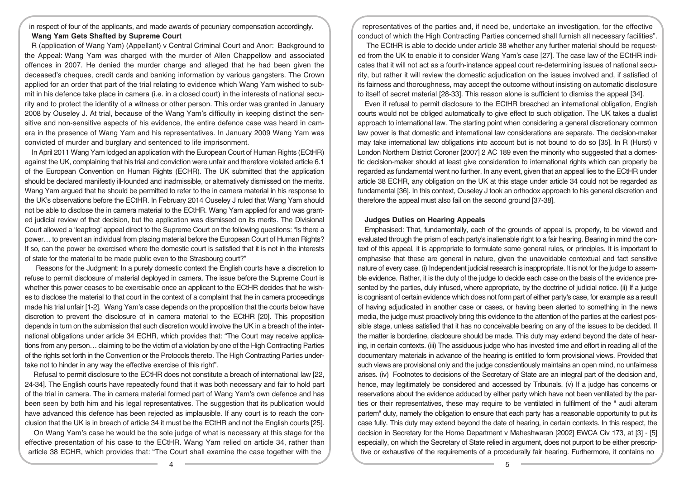## in respect of four of the applicants, and made awards of pecuniary compensation accordingly. **Wang Yam Gets Shafted by Supreme Court**

R (application of Wang Yam) (Appellant) v Central Criminal Court and Anor: Background to the Appeal: Wang Yam was charged with the murder of Allen Chappellow and associated offences in 2007. He denied the murder charge and alleged that he had been given the deceased's cheques, credit cards and banking information by various gangsters. The Crown applied for an order that part of the trial relating to evidence which Wang Yam wished to submit in his defence take place in camera (i.e. in a closed court) in the interests of national security and to protect the identity of a witness or other person. This order was granted in January 2008 by Ouseley J. At trial, because of the Wang Yam's difficulty in keeping distinct the sensitive and non-sensitive aspects of his evidence, the entire defence case was heard in camera in the presence of Wang Yam and his representatives. In January 2009 Wang Yam was convicted of murder and burglary and sentenced to life imprisonment.

In April 2011 Wang Yam lodged an application with the European Court of Human Rights (ECtHR) against the UK, complaining that his trial and conviction were unfair and therefore violated article 6.1 of the European Convention on Human Rights (ECHR). The UK submitted that the application should be declared manifestly ill-founded and inadmissible, or alternatively dismissed on the merits. Wang Yam argued that he should be permitted to refer to the in camera material in his response to the UK's observations before the ECtHR. In February 2014 Ouseley J ruled that Wang Yam should not be able to disclose the in camera material to the ECtHR. Wang Yam applied for and was granted judicial review of that decision, but the application was dismissed on its merits. The Divisional Court allowed a 'leapfrog' appeal direct to the Supreme Court on the following questions: "Is there a power… to prevent an individual from placing material before the European Court of Human Rights? If so, can the power be exercised where the domestic court is satisfied that it is not in the interests of state for the material to be made public even to the Strasbourg court?"

Reasons for the Judgment: In a purely domestic context the English courts have a discretion to refuse to permit disclosure of material deployed in camera. The issue before the Supreme Court is whether this power ceases to be exercisable once an applicant to the ECtHR decides that he wishes to disclose the material to that court in the context of a complaint that the in camera proceedings made his trial unfair [1-2]. Wang Yam's case depends on the proposition that the courts below have discretion to prevent the disclosure of in camera material to the ECtHR [20]. This proposition depends in turn on the submission that such discretion would involve the UK in a breach of the international obligations under article 34 ECHR, which provides that: "The Court may receive applications from any person… claiming to be the victim of a violation by one of the High Contracting Parties of the rights set forth in the Convention or the Protocols thereto. The High Contracting Parties undertake not to hinder in any way the effective exercise of this right".

Refusal to permit disclosure to the ECtHR does not constitute a breach of international law [22, 24-34]. The English courts have repeatedly found that it was both necessary and fair to hold part of the trial in camera. The in camera material formed part of Wang Yam's own defence and has been seen by both him and his legal representatives. The suggestion that its publication would have advanced this defence has been rejected as implausible. If any court is to reach the conclusion that the UK is in breach of article 34 it must be the ECtHR and not the English courts [25].

On Wang Yam's case he would be the sole judge of what is necessary at this stage for the effective presentation of his case to the ECtHR. Wang Yam relied on article 34, rather than article 38 ECHR, which provides that: "The Court shall examine the case together with the

representatives of the parties and, if need be, undertake an investigation, for the effective conduct of which the High Contracting Parties concerned shall furnish all necessary facilities".

The ECtHR is able to decide under article 38 whether any further material should be requested from the UK to enable it to consider Wang Yam's case [27]. The case law of the ECtHR indicates that it will not act as a fourth-instance appeal court re-determining issues of national security, but rather it will review the domestic adjudication on the issues involved and, if satisfied of its fairness and thoroughness, may accept the outcome without insisting on automatic disclosure to itself of secret material [28-33]. This reason alone is sufficient to dismiss the appeal [34].

Even if refusal to permit disclosure to the ECtHR breached an international obligation, English courts would not be obliged automatically to give effect to such obligation. The UK takes a dualist approach to international law. The starting point when considering a general discretionary common law power is that domestic and international law considerations are separate. The decision-maker may take international law obligations into account but is not bound to do so [35]. In R (Hurst) v London Northern District Coroner [2007] 2 AC 189 even the minority who suggested that a domestic decision-maker should at least give consideration to international rights which can properly be regarded as fundamental went no further. In any event, given that an appeal lies to the ECtHR under article 38 ECHR, any obligation on the UK at this stage under article 34 could not be regarded as fundamental [36]. In this context, Ouseley J took an orthodox approach to his general discretion and therefore the appeal must also fail on the second ground [37-38].

## **Judges Duties on Hearing Appeals**

Emphasised: That, fundamentally, each of the grounds of appeal is, properly, to be viewed and evaluated through the prism of each party's inalienable right to a fair hearing. Bearing in mind the context of this appeal, it is appropriate to formulate some general rules, or principles. It is important to emphasise that these are general in nature, given the unavoidable contextual and fact sensitive nature of every case. (i) Independent judicial research is inappropriate. It is not for the judge to assemble evidence. Rather, it is the duty of the judge to decide each case on the basis of the evidence presented by the parties, duly infused, where appropriate, by the doctrine of judicial notice. (ii) If a judge is cognisant of certain evidence which does not form part of either party's case, for example as a result of having adjudicated in another case or cases, or having been alerted to something in the news media, the judge must proactively bring this evidence to the attention of the parties at the earliest possible stage, unless satisfied that it has no conceivable bearing on any of the issues to be decided. If the matter is borderline, disclosure should be made. This duty may extend beyond the date of hearing, in certain contexts. (iii) The assiduous judge who has invested time and effort in reading all of the documentary materials in advance of the hearing is entitled to form provisional views. Provided that such views are provisional only and the judge conscientiously maintains an open mind, no unfairness arises. (iv) Footnotes to decisions of the Secretary of State are an integral part of the decision and, hence, may legitimately be considered and accessed by Tribunals. (v) If a judge has concerns or reservations about the evidence adduced by either party which have not been ventilated by the parties or their representatives, these may require to be ventilated in fulfilment of the " audi alteram partem" duty, namely the obligation to ensure that each party has a reasonable opportunity to put its case fully. This duty may extend beyond the date of hearing, in certain contexts. In this respect, the decision in Secretary for the Home Department v Maheshwaran [2002] EWCA Civ 173, at [3] - [5] especially, on which the Secretary of State relied in argument, does not purport to be either prescriptive or exhaustive of the requirements of a procedurally fair hearing. Furthermore, it contains no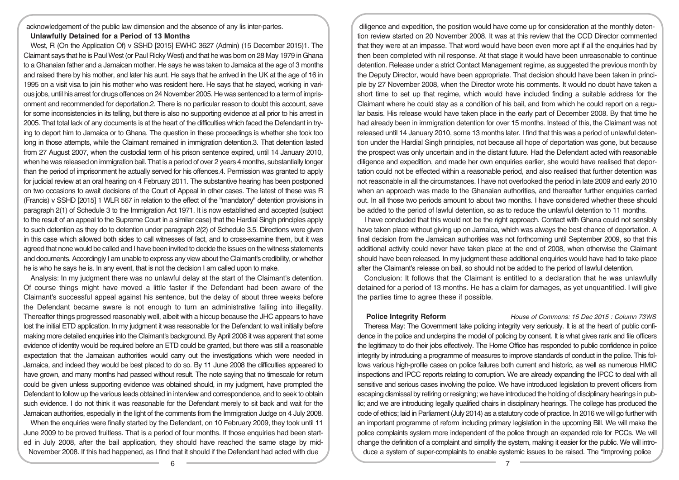## acknowledgement of the public law dimension and the absence of any lis inter-partes. **Unlawfully Detained for a Period of 13 Months**

West, R (On the Application Of) v SSHD [2015] EWHC 3627 (Admin) (15 December 2015)1. The Claimant says that he isPaul West(orPaul Ricky West) and that he was born on 28 May 1979 in Ghana to a Ghanaian father and a Jamaican mother. He says he was taken to Jamaica at the age of 3 months and raised there by his mother, and later his aunt. He says that he arrived in the UK at the age of 16 in 1995 on a visit visa to join his mother who was resident here. He says that he stayed, working in various jobs, until his arrest for drugs offences on 24 November 2005. He was sentenced to a term of imprisonment and recommended for deportation.2. There is no particular reason to doubt this account, save for some inconsistencies in its telling, but there is also no supporting evidence at all prior to his arrest in 2005. That total lack of any documents is at the heart of the difficulties which faced the Defendant in trying to deport him to Jamaica or to Ghana. The question in these proceedings is whether she took too long in those attempts, while the Claimant remained in immigration detention.3. That detention lasted from 27 August 2007, when the custodial term of his prison sentence expired, until 14 January 2010, when he was released on immigration bail. That is a period of over 2 years 4 months, substantially longer than the period of imprisonment he actually served for his offences.4. Permission was granted to apply for judicial review at an oral hearing on 4 February 2011. The substantive hearing has been postponed on two occasions to await decisions of the Court of Appeal in other cases. The latest of these was R (Francis) v SSHD [2015] 1 WLR 567 in relation to the effect of the "mandatory" detention provisions in paragraph 2(1) of Schedule 3 to the Immigration Act 1971. It is now established and accepted (subject to the result of an appeal to the Supreme Court in a similar case) that the Hardial Singh principles apply to such detention as they do to detention under paragraph 2(2) of Schedule 3.5. Directions were given in this case which allowed both sides to call witnesses of fact, and to cross-examine them, but it was agreed that none would be called and I have been invited to decide the issues on the witness statements and documents. Accordingly I am unable to express any view about the Claimant's credibility, or whether he is who he says he is. In any event, that is not the decision I am called upon to make.

Analysis: In my judgment there was no unlawful delay at the start of the Claimant's detention. Of course things might have moved a little faster if the Defendant had been aware of the Claimant's successful appeal against his sentence, but the delay of about three weeks before the Defendant became aware is not enough to turn an administrative failing into illegality. Thereafter things progressed reasonably well, albeit with a hiccup because the JHC appears to have lost the initial ETD application. In my judgment it was reasonable for the Defendant to wait initially before making more detailed enquiries into the Claimant's background. By April 2008 it was apparent that some evidence of identity would be required before an ETD could be granted, but there was still a reasonable expectation that the Jamaican authorities would carry out the investigations which were needed in Jamaica, and indeed they would be best placed to do so. By 11 June 2008 the difficulties appeared to have grown, and many months had passed without result. The note saying that no timescale for return could be given unless supporting evidence was obtained should, in my judgment, have prompted the Defendant to follow up the various leads obtained in interview and correspondence, and to seek to obtain such evidence. I do not think it was reasonable for the Defendant merely to sit back and wait for the Jamaican authorities, especially in the light of the comments from the Immigration Judge on 4 July 2008.

When the enquiries were finally started by the Defendant, on 10 February 2009, they took until 11 June 2009 to be proved fruitless. That is a period of four months. If those enquiries had been started in July 2008, after the bail application, they should have reached the same stage by mid-November 2008. If this had happened, as I find that it should if the Defendant had acted with due

diligence and expedition, the position would have come up for consideration at the monthly detention review started on 20 November 2008. It was at this review that the CCD Director commented that they were at an impasse. That word would have been even more apt if all the enquiries had by then been completed with nil response. At that stage it would have been unreasonable to continue detention. Release under a strict Contact Management regime, as suggested the previous month by the Deputy Director, would have been appropriate. That decision should have been taken in principle by 27 November 2008, when the Director wrote his comments. It would no doubt have taken a short time to set up that regime, which would have included finding a suitable address for the Claimant where he could stay as a condition of his bail, and from which he could report on a regular basis. His release would have taken place in the early part of December 2008. By that time he had already been in immigration detention for over 15 months. Instead of this, the Claimant was not released until 14 January 2010, some 13 months later. I find that this was a period of unlawful detention under the Hardial Singh principles, not because all hope of deportation was gone, but because the prospect was only uncertain and in the distant future. Had the Defendant acted with reasonable diligence and expedition, and made her own enquiries earlier, she would have realised that deportation could not be effected within a reasonable period, and also realised that further detention was not reasonable in all the circumstances. I have not overlooked the period in late 2009 and early 2010 when an approach was made to the Ghanaian authorities, and thereafter further enquiries carried out. In all those two periods amount to about two months. I have considered whether these should be added to the period of lawful detention, so as to reduce the unlawful detention to 11 months.

I have concluded that this would not be the right approach. Contact with Ghana could not sensibly have taken place without giving up on Jamaica, which was always the best chance of deportation. A final decision from the Jamaican authorities was not forthcoming until September 2009, so that this additional activity could never have taken place at the end of 2008, when otherwise the Claimant should have been released. In my judgment these additional enquiries would have had to take place after the Claimant's release on bail, so should not be added to the period of lawful detention.

Conclusion: It follows that the Claimant is entitled to a declaration that he was unlawfully detained for a period of 13 months. He has a claim for damages, as yet unquantified. I will give the parties time to agree these if possible.

**Police Integrity Reform** *House of Commons: 15 Dec 2015 : Column 73WS* Theresa May: The Government take policing integrity very seriously. It is at the heart of public confidence in the police and underpins the model of policing by consent. It is what gives rank and file officers the legitimacy to do their jobs effectively. The Home Office has responded to public confidence in police integrity by introducing a programme of measures to improve standards of conduct in the police. This follows various high-profile cases on police failures both current and historic, as well as numerous HMIC inspections and IPCC reports relating to corruption. We are already expanding the IPCC to deal with all sensitive and serious cases involving the police. We have introduced legislation to prevent officers from escaping dismissal by retiring or resigning; we have introduced the holding of disciplinary hearings in public; and we are introducing legally qualified chairs in disciplinary hearings. The college has produced the code of ethics; laid in Parliament (July 2014) as a statutory code of practice. In 2016 we will go further with an important programme of reform including primary legislation in the upcoming Bill. We will make the police complaints system more independent of the police through an expanded role for PCCs. We will change the definition of a complaint and simplify the system, making it easier for the public. We will introduce a system of super-complaints to enable systemic issues to be raised. The "Improving police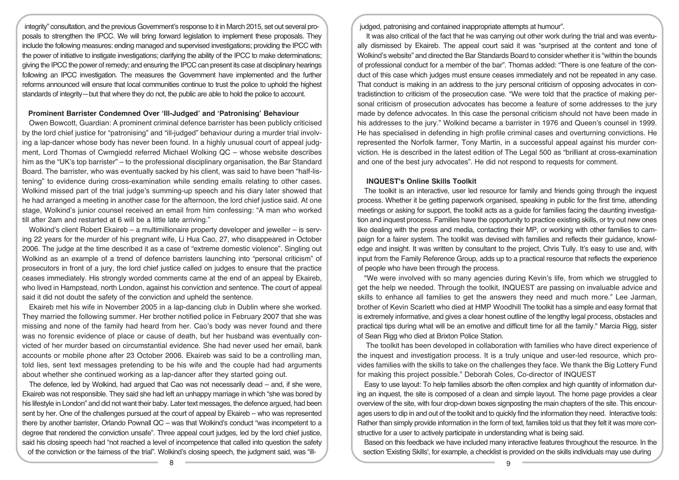integrity" consultation, and the previous Government's response to it in March 2015, set out several proposals to strengthen the IPCC. We will bring forward legislation to implement these proposals. They include the following measures: ending managed and supervised investigations; providing the IPCC with the power of initiative to instigate investigations; clarifying the ability of the IPCC to make determinations; giving the IPCC the power ofremedy; and ensuring the IPCC can present its case at disciplinary hearings following an IPCC investigation. The measures the Government have implemented and the further reforms announced will ensure that local communities continue to trust the police to uphold the highest standards of integrity—but that where they do not, the public are able to hold the police to account.

## **Prominent Barrister Condemned Over 'Ill-Judged' and 'Patronising' Behaviour**

Owen Bowcott, Guardian: A prominent criminal defence barrister has been publicly criticised by the lord chief justice for "patronising" and "ill-judged" behaviour during a murder trial involving a lap-dancer whose body has never been found. In a highly unusual court of appeal judgment, Lord Thomas of Cwmgiedd referred Michael Wolking QC – whose website describes him as the "UK's top barrister" – to the professional disciplinary organisation, the Bar Standard Board. The barrister, who was eventually sacked by his client, was said to have been "half-listening" to evidence during cross-examination while sending emails relating to other cases. Wolkind missed part of the trial judge's summing-up speech and his diary later showed that he had arranged a meeting in another case for the afternoon, the lord chief justice said. At one stage, Wolkind's junior counsel received an email from him confessing: "A man who worked till after 2am and restarted at 6 will be a little late arriving."

Wolkind's client Robert Ekaireb – a multimillionaire property developer and jeweller – is serving 22 years for the murder of his pregnant wife, Li Hua Cao, 27, who disappeared in October 2006. The judge at the time described it as a case of "extreme domestic violence". Singling out Wolkind as an example of a trend of defence barristers launching into "personal criticism" of prosecutors in front of a jury, the lord chief justice called on judges to ensure that the practice ceases immediately. His strongly worded comments came at the end of an appeal by Ekaireb, who lived in Hampstead, north London, against his conviction and sentence. The court of appeal said it did not doubt the safety of the conviction and upheld the sentence.

Ekaireb met his wife in November 2005 in a lap-dancing club in Dublin where she worked. They married the following summer. Her brother notified police in February 2007 that she was missing and none of the family had heard from her. Cao's body was never found and there was no forensic evidence of place or cause of death, but her husband was eventually convicted of her murder based on circumstantial evidence. She had never used her email, bank accounts or mobile phone after 23 October 2006. Ekaireb was said to be a controlling man, told lies, sent text messages pretending to be his wife and the couple had had arguments about whether she continued working as a lap-dancer after they started going out.

The defence, led by Wolkind, had argued that Cao was not necessarily dead  $-$  and, if she were, Ekaireb was not responsible. They said she had left an unhappy marriage in which "she was bored by his lifestyle in London" and did not want their baby. Later text messages, the defence argued, had been sent by her. One of the challenges pursued at the court of appeal by Ekaireb – who was represented there by another barrister, Orlando Pownall QC – was that Wolkind's conduct "was incompetent to a degree that rendered the conviction unsafe". Three appeal court judges, led by the lord chief justice, said his closing speech had "not reached a level of incompetence that called into question the safety of the conviction or the fairness of the trial". Wolkind's closing speech, the judgment said, was "illjudged, patronising and contained inappropriate attempts at humour".

It was also critical of the fact that he was carrying out other work during the trial and was eventually dismissed by Ekaireb. The appeal court said it was "surprised at the content and tone of Wolkind's website" and directed the Bar Standards Board to consider whether it is "within the bounds of professional conduct for a member of the bar". Thomas added: "There is one feature of the conduct of this case which judges must ensure ceases immediately and not be repeated in any case. That conduct is making in an address to the jury personal criticism of opposing advocates in contradistinction to criticism of the prosecution case. "We were told that the practice of making personal criticism of prosecution advocates has become a feature of some addresses to the jury made by defence advocates. In this case the personal criticism should not have been made in his addresses to the jury." Wolkind became a barrister in 1976 and Queen's counsel in 1999. He has specialised in defending in high profile criminal cases and overturning convictions. He represented the Norfolk farmer, Tony Martin, in a successful appeal against his murder conviction. He is described in the latest edition of The Legal 500 as "brilliant at cross-examination and one of the best jury advocates". He did not respond to requests for comment.

## **INQUEST's Online Skills Toolkit**

The toolkit is an interactive, user led resource for family and friends going through the inquest process. Whether it be getting paperwork organised, speaking in public for the first time, attending meetings or asking for support, the toolkit acts as a guide for families facing the daunting investigation and inquest process. Families have the opportunity to practice existing skills, or try out new ones like dealing with the press and media, contacting their MP, or working with other families to campaign for a fairer system. The toolkit was devised with families and reflects their guidance, knowledge and insight. It was written by consultant to the project, Chris Tully. It's easy to use and, with input from the Family Reference Group, adds up to a practical resource that reflects the experience of people who have been through the process.

"We were involved with so many agencies during Kevin's life, from which we struggled to get the help we needed. Through the toolkit, INQUEST are passing on invaluable advice and skills to enhance all families to get the answers they need and much more." Lee Jarman, brother of Kevin Scarlett who died at HMP Woodhill The toolkit has a simple and easy format that is extremely informative, and gives a clear honest outline of the lengthy legal process, obstacles and practical tips during what will be an emotive and difficult time for all the family." Marcia Rigg, sister of Sean Rigg who died at Brixton Police Station.

The toolkit has been developed in collaboration with families who have direct experience of the inquest and investigation process. It is a truly unique and user-led resource, which provides families with the skills to take on the challenges they face. We thank the Big Lottery Fund for making this project possible." Deborah Coles, Co-director of INQUEST

Easy to use layout: To help families absorb the often complex and high quantity of information during an inquest, the site is composed of a clean and simple layout. The home page provides a clear overview of the site, with four drop-down boxes signposting the main chapters of the site. This encourages users to dip in and out of the toolkit and to quickly find the information they need. Interactive tools: Rather than simply provide information in the form of text, families told us that they felt it was more constructive for a user to actively participate in understanding what is being said.

Based on this feedback we have included many interactive features throughout the resource. In the section 'Existing Skills', for example, a checklist is provided on the skills individuals may use during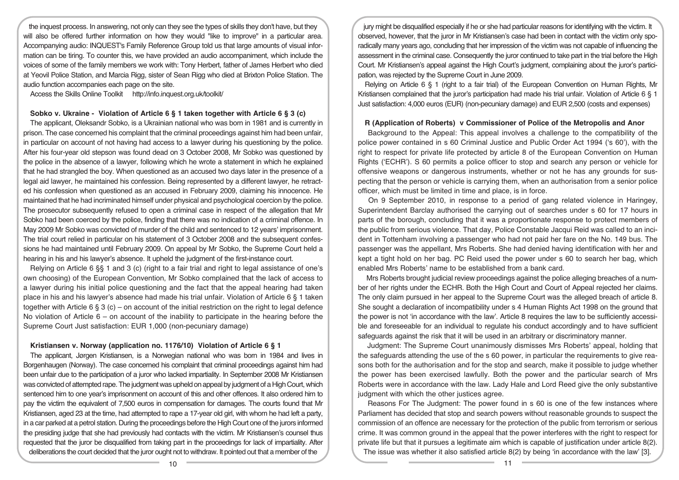the inquest process. In answering, not only can they see the types of skills they don't have, but they will also be offered further information on how they would "like to improve" in a particular area. Accompanying audio: INQUEST's Family Reference Group told us that large amounts of visual information can be tiring. To counter this, we have provided an audio accompaniment, which include the voices of some of the family members we work with: Tony Herbert, father of James Herbert who died at Yeovil Police Station, and Marcia Rigg, sister of Sean Rigg who died at Brixton Police Station. The audio function accompanies each page on the site.

Access the Skills Online Toolkit http://info.inquest.org.uk/toolkit/

#### **Sobko v. Ukraine - Violation of Article 6 § 1 taken together with Article 6 § 3 (c)**

The applicant, Oleksandr Sobko, is a Ukrainian national who was born in 1981 and is currently in prison. The case concerned his complaint that the criminal proceedings against him had been unfair, in particular on account of not having had access to a lawyer during his questioning by the police. After his four-year old stepson was found dead on 3 October 2008, Mr Sobko was questioned by the police in the absence of a lawyer, following which he wrote a statement in which he explained that he had strangled the boy. When questioned as an accused two days later in the presence of a legal aid lawyer, he maintained his confession. Being represented by a different lawyer, he retracted his confession when questioned as an accused in February 2009, claiming his innocence. He maintained that he had incriminated himself under physical and psychological coercion by the police. The prosecutor subsequently refused to open a criminal case in respect of the allegation that Mr Sobko had been coerced by the police, finding that there was no indication of a criminal offence. In May 2009 Mr Sobko was convicted of murder of the child and sentenced to 12 years' imprisonment. The trial court relied in particular on his statement of 3 October 2008 and the subsequent confessions he had maintained until February 2009. On appeal by Mr Sobko, the Supreme Court held a hearing in his and his lawyer's absence. It upheld the judgment of the first-instance court.

Relying on Article 6 §§ 1 and 3 (c) (right to a fair trial and right to legal assistance of one's own choosing) of the European Convention, Mr Sobko complained that the lack of access to a lawyer during his initial police questioning and the fact that the appeal hearing had taken place in his and his lawyer's absence had made his trial unfair. Violation of Article 6 § 1 taken together with Article 6 § 3 (c) – on account of the initial restriction on the right to legal defence No violation of Article  $6 -$  on account of the inability to participate in the hearing before the Supreme Court Just satisfaction: EUR 1,000 (non-pecuniary damage)

### **Kristiansen v. Norway (application no. 1176/10) Violation of Article 6 § 1**

The applicant, Jørgen Kristiansen, is a Norwegian national who was born in 1984 and lives in Borgenhaugen (Norway). The case concerned his complaint that criminal proceedings against him had been unfair due to the participation of a juror who lacked impartiality. In September 2008 Mr Kristiansen was convicted of attempted rape. The judgment was upheld on appeal by judgment of a High Court, which sentenced him to one year's imprisonment on account of this and other offences. It also ordered him to pay the victim the equivalent of 7,500 euros in compensation for damages. The courts found that Mr Kristiansen, aged 23 at the time, had attempted to rape a 17-year old girl, with whom he had left a party, in a car parked at a petrol station. During the proceedings before the High Court one of the jurors informed the presiding judge that she had previously had contacts with the victim. Mr Kristiansen's counsel thus requested that the juror be disqualified from taking part in the proceedings for lack of impartiality. After deliberations the court decided that the juror ought not to withdraw. It pointed out that a member of the

jury might be disqualified especially if he or she had particular reasons for identifying with the victim. It observed, however, that the juror in Mr Kristiansen's case had been in contact with the victim only sporadically many years ago, concluding that her impression of the victim was not capable of influencing the assessment in the criminal case. Consequently the juror continued to take part in the trial before the High Court. Mr Kristiansen's appeal against the High Court's judgment, complaining about the juror's participation, was rejected by the Supreme Court in June 2009.

Relying on Article 6 § 1 (right to a fair trial) of the European Convention on Human Rights, Mr Kristiansen complained that the juror's participation had made his trial unfair. Violation of Article 6 § 1 Just satisfaction: 4,000 euros (EUR) (non-pecuniary damage) and EUR 2,500 (costs and expenses)

#### **R (Application of Roberts) v Commissioner of Police of the Metropolis and Anor**

Background to the Appeal: This appeal involves a challenge to the compatibility of the police power contained in s 60 Criminal Justice and Public Order Act 1994 ('s 60'), with the right to respect for private life protected by article 8 of the European Convention on Human Rights ('ECHR'). S 60 permits a police officer to stop and search any person or vehicle for offensive weapons or dangerous instruments, whether or not he has any grounds for suspecting that the person or vehicle is carrying them, when an authorisation from a senior police officer, which must be limited in time and place, is in force.

On 9 September 2010, in response to a period of gang related violence in Haringey, Superintendent Barclay authorised the carrying out of searches under s 60 for 17 hours in parts of the borough, concluding that it was a proportionate response to protect members of the public from serious violence. That day, Police Constable Jacqui Reid was called to an incident in Tottenham involving a passenger who had not paid her fare on the No. 149 bus. The passenger was the appellant, Mrs Roberts. She had denied having identification with her and kept a tight hold on her bag. PC Reid used the power under s 60 to search her bag, which enabled Mrs Roberts' name to be established from a bank card.

Mrs Roberts brought judicial review proceedings against the police alleging breaches of a number of her rights under the ECHR. Both the High Court and Court of Appeal rejected her claims. The only claim pursued in her appeal to the Supreme Court was the alleged breach of article 8. She sought a declaration of incompatibility under s 4 Human Rights Act 1998 on the ground that the power is not 'in accordance with the law'. Article 8 requires the law to be sufficiently accessible and foreseeable for an individual to regulate his conduct accordingly and to have sufficient safeguards against the risk that it will be used in an arbitrary or discriminatory manner.

Judgment: The Supreme Court unanimously dismisses Mrs Roberts' appeal, holding that the safeguards attending the use of the s 60 power, in particular the requirements to give reasons both for the authorisation and for the stop and search, make it possible to judge whether the power has been exercised lawfully. Both the power and the particular search of Mrs Roberts were in accordance with the law. Lady Hale and Lord Reed give the only substantive judgment with which the other justices agree.

Reasons For The Judgment: The power found in s 60 is one of the few instances where Parliament has decided that stop and search powers without reasonable grounds to suspect the commission of an offence are necessary for the protection of the public from terrorism or serious crime. It was common ground in the appeal that the power interferes with the right to respect for private life but that it pursues a legitimate aim which is capable of justification under article 8(2). The issue was whether it also satisfied article 8(2) by being 'in accordance with the law' [3].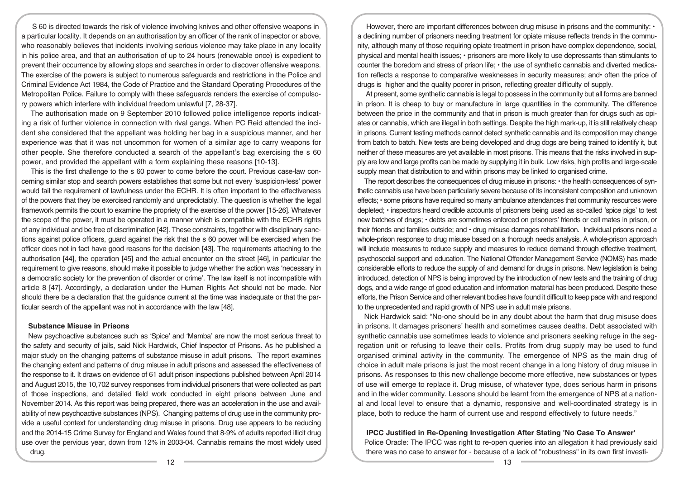S 60 is directed towards the risk of violence involving knives and other offensive weapons in a particular locality. It depends on an authorisation by an officer of the rank of inspector or above, who reasonably believes that incidents involving serious violence may take place in any locality in his police area, and that an authorisation of up to 24 hours (renewable once) is expedient to prevent their occurrence by allowing stops and searches in order to discover offensive weapons. The exercise of the powers is subject to numerous safeguards and restrictions in the Police and Criminal Evidence Act 1984, the Code of Practice and the Standard Operating Procedures of the Metropolitan Police. Failure to comply with these safeguards renders the exercise of compulsory powers which interfere with individual freedom unlawful [7, 28-37].

The authorisation made on 9 September 2010 followed police intelligence reports indicating a risk of further violence in connection with rival gangs. When PC Reid attended the incident she considered that the appellant was holding her bag in a suspicious manner, and her experience was that it was not uncommon for women of a similar age to carry weapons for other people. She therefore conducted a search of the appellant's bag exercising the s 60 power, and provided the appellant with a form explaining these reasons [10-13].

This is the first challenge to the s 60 power to come before the court. Previous case-law concerning similar stop and search powers establishes that some but not every 'suspicion-less' power would fail the requirement of lawfulness under the ECHR. It is often important to the effectiveness of the powers that they be exercised randomly and unpredictably. The question is whether the legal framework permits the court to examine the propriety of the exercise of the power [15-26]. Whatever the scope of the power, it must be operated in a manner which is compatible with the ECHR rights of any individual and be free of discrimination [42]. These constraints, together with disciplinary sanctions against police officers, guard against the risk that the s 60 power will be exercised when the officer does not in fact have good reasons for the decision [43]. The requirements attaching to the authorisation [44], the operation [45] and the actual encounter on the street [46], in particular the requirement to give reasons, should make it possible to judge whether the action was 'necessary in a democratic society for the prevention of disorder or crime'. The law itself is not incompatible with article 8 [47]. Accordingly, a declaration under the Human Rights Act should not be made. Nor should there be a declaration that the guidance current at the time was inadequate or that the particular search of the appellant was not in accordance with the law [48].

## **Substance Misuse in Prisons**

New psychoactive substances such as 'Spice' and 'Mamba' are now the most serious threat to the safety and security of jails, said Nick Hardwick, Chief Inspector of Prisons. As he published a major study on the changing patterns of substance misuse in adult prisons. The report examines the changing extent and patterns of drug misuse in adult prisons and assessed the effectiveness of the response to it. It draws on evidence of 61 adult prison inspections published between April 2014 and August 2015, the 10,702 survey responses from individual prisoners that were collected as part of those inspections, and detailed field work conducted in eight prisons between June and November 2014. As this report was being prepared, there was an acceleration in the use and availability of new psychoactive substances (NPS). Changing patterns of drug use in the community provide a useful context for understanding drug misuse in prisons. Drug use appears to be reducing and the 2014-15 Crime Survey for England and Wales found that 8-9% of adults reported illicit drug use over the pervious year, down from 12% in 2003-04. Cannabis remains the most widely used drug.

However, there are important differences between drug misuse in prisons and the community:  $\cdot$ a declining number of prisoners needing treatment for opiate misuse reflects trends in the community, although many of those requiring opiate treatment in prison have complex dependence, social, physical and mental health issues; • prisoners are more likely to use depressants than stimulants to counter the boredom and stress of prison life; • the use of synthetic cannabis and diverted medication reflects a response to comparative weaknesses in security measures; and• often the price of drugs is higher and the quality poorer in prison, reflecting greater difficulty of supply.

At present, some synthetic cannabis is legal to possess in the community but all forms are banned in prison. It is cheap to buy or manufacture in large quantities in the community. The difference between the price in the community and that in prison is much greater than for drugs such as opiates or cannabis, which are illegal in both settings. Despite the high mark-up, it is still relatively cheap in prisons. Current testing methods cannot detect synthetic cannabis and its composition may change from batch to batch. New tests are being developed and drug dogs are being trained to identify it, but neither of these measures are yet available in most prisons. This means that the risks involved in supply are low and large profits can be made by supplying it in bulk. Low risks, high profits and large-scale supply mean that distribution to and within prisons may be linked to organised crime.

The report describes the consequences of drug misuse in prisons: • the health consequences of synthetic cannabis use have been particularly severe because of its inconsistent composition and unknown effects; • some prisons have required so many ambulance attendances that community resources were depleted; • inspectors heard credible accounts of prisoners being used as so-called 'spice pigs' to test new batches of drugs; • debts are sometimes enforced on prisoners' friends or cell mates in prison, or their friends and families outside; and • drug misuse damages rehabilitation. Individual prisons need a whole-prison response to drug misuse based on a thorough needs analysis. A whole-prison approach will include measures to reduce supply and measures to reduce demand through effective treatment, psychosocial support and education. The National Offender Management Service (NOMS) has made considerable efforts to reduce the supply of and demand for drugs in prisons. New legislation is being introduced, detection of NPS is being improved by the introduction of new tests and the training of drug dogs, and a wide range of good education and information material has been produced. Despite these efforts, the Prison Service and other relevant bodies have found it difficult to keep pace with and respond to the unprecedented and rapid growth of NPS use in adult male prisons.

Nick Hardwick said: "No-one should be in any doubt about the harm that drug misuse does in prisons. It damages prisoners' health and sometimes causes deaths. Debt associated with synthetic cannabis use sometimes leads to violence and prisoners seeking refuge in the segregation unit or refusing to leave their cells. Profits from drug supply may be used to fund organised criminal activity in the community. The emergence of NPS as the main drug of choice in adult male prisons is just the most recent change in a long history of drug misuse in prisons. As responses to this new challenge become more effective, new substances or types of use will emerge to replace it. Drug misuse, of whatever type, does serious harm in prisons and in the wider community. Lessons should be learnt from the emergence of NPS at a national and local level to ensure that a dynamic, responsive and well-coordinated strategy is in place, both to reduce the harm of current use and respond effectively to future needs."

## **IPCC Justified in Re-Opening Investigation After Stating 'No Case To Answer'**

Police Oracle: The IPCC was right to re-open queries into an allegation it had previously said there was no case to answer for - because of a lack of "robustness" in its own first investi-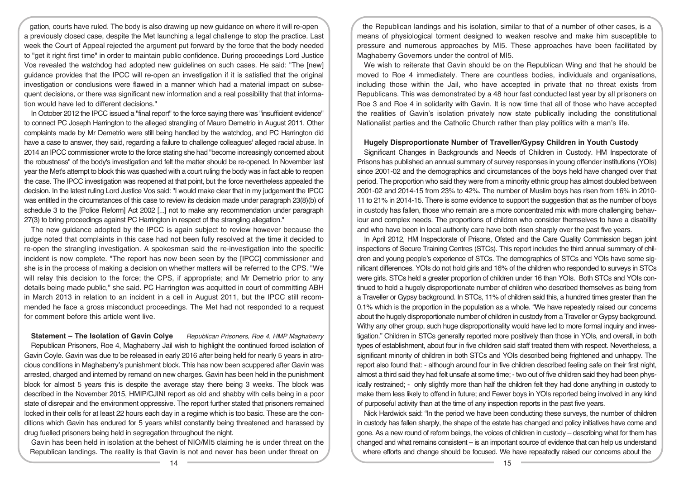gation, courts have ruled. The body is also drawing up new guidance on where it will re-open a previously closed case, despite the Met launching a legal challenge to stop the practice. Last week the Court of Appeal rejected the argument put forward by the force that the body needed to "get it right first time" in order to maintain public confidence. During proceedings Lord Justice Vos revealed the watchdog had adopted new guidelines on such cases. He said: "The [new] guidance provides that the IPCC will re-open an investigation if it is satisfied that the original investigation or conclusions were flawed in a manner which had a material impact on subsequent decisions, or there was significant new information and a real possibility that that information would have led to different decisions."

In October 2012 the IPCC issued a "final report" to the force saying there was "insufficient evidence" to connect PC Joseph Harrington to the alleged strangling of Mauro Demetrio in August 2011. Other complaints made by Mr Demetrio were still being handled by the watchdog, and PC Harrington did have a case to answer, they said, regarding a failure to challenge colleagues' alleged racial abuse. In 2014 an IPCC commissioner wrote to the force stating she had "become increasingly concerned about the robustness" of the body's investigation and felt the matter should be re-opened. In November last year the Met's attempt to block this was quashed with a court ruling the body was in fact able to reopen the case. The IPCC investigation was reopened at that point, but the force nevertheless appealed the decision. In the latest ruling Lord Justice Vos said: "I would make clear that in my judgement the IPCC was entitled in the circumstances of this case to review its decision made under paragraph 23(8)(b) of schedule 3 to the [Police Reform] Act 2002 [...] not to make any recommendation under paragraph 27(3) to bring proceedings against PC Harrington in respect of the strangling allegation."

The new guidance adopted by the IPCC is again subject to review however because the judge noted that complaints in this case had not been fully resolved at the time it decided to re-open the strangling investigation. A spokesman said the re-investigation into the specific incident is now complete. "The report has now been seen by the [IPCC] commissioner and she is in the process of making a decision on whether matters will be referred to the CPS. "We will relay this decision to the force; the CPS, if appropriate; and Mr Demetrio prior to any details being made public," she said. PC Harrington was acquitted in court of committing ABH in March 2013 in relation to an incident in a cell in August 2011, but the IPCC still recommended he face a gross misconduct proceedings. The Met had not responded to a request for comment before this article went live.

**Statement – The Isolation of Gavin Colye** *Republican Prisoners, Roe 4, HMP Maghaberry* Republican Prisoners, Roe 4, Maghaberry Jail wish to highlight the continued forced isolation of Gavin Coyle. Gavin was due to be released in early 2016 after being held for nearly 5 years in atrocious conditions in Maghaberry's punishment block. This has now been scuppered after Gavin was arrested, charged and interned by remand on new charges. Gavin has been held in the punishment block for almost 5 years this is despite the average stay there being 3 weeks. The block was described in the November 2015, HMIP/CJINI report as old and shabby with cells being in a poor state of disrepair and the environment oppressive. The report further stated that prisoners remained locked in their cells for at least 22 hours each day in a regime which is too basic. These are the conditions which Gavin has endured for 5 years whilst constantly being threatened and harassed by drug fuelled prisoners being held in segregation throughout the night.

Gavin has been held in isolation at the behest of NIO/MI5 claiming he is under threat on the Republican landings. The reality is that Gavin is not and never has been under threat on

the Republican landings and his isolation, similar to that of a number of other cases, is a means of physiological torment designed to weaken resolve and make him susceptible to pressure and numerous approaches by MI5. These approaches have been facilitated by Maghaberry Governors under the control of MI5.

We wish to reiterate that Gavin should be on the Republican Wing and that he should be moved to Roe 4 immediately. There are countless bodies, individuals and organisations, including those within the Jail, who have accepted in private that no threat exists from Republicans. This was demonstrated by a 48 hour fast conducted last year by all prisoners on Roe 3 and Roe 4 in solidarity with Gavin. It is now time that all of those who have accepted the realities of Gavin's isolation privately now state publically including the constitutional Nationalist parties and the Catholic Church rather than play politics with a man's life.

## **Hugely Disproportionate Number of Traveller/Gypsy Children in Youth Custody**

Significant Changes in Backgrounds and Needs of Children in Custody. HM Inspectorate of Prisons has published an annual summary of survey responses in young offender institutions (YOIs) since 2001-02 and the demographics and circumstances of the boys held have changed over that period. The proportion who said they were from a minority ethnic group has almost doubled between 2001-02 and 2014-15 from 23% to 42%. The number of Muslim boys has risen from 16% in 2010- 11 to 21% in 2014-15. There is some evidence to support the suggestion that as the number of boys in custody has fallen, those who remain are a more concentrated mix with more challenging behaviour and complex needs. The proportions of children who consider themselves to have a disability and who have been in local authority care have both risen sharply over the past five years.

In April 2012, HM Inspectorate of Prisons, Ofsted and the Care Quality Commission began joint inspections of Secure Training Centres (STCs). This report includes the third annual summary of children and young people's experience of STCs. The demographics of STCs and YOIs have some significant differences. YOIs do not hold girls and 16% of the children who responded to surveys in STCs were girls. STCs held a greater proportion of children under 16 than YOIs. Both STCs and YOIs continued to hold a hugely disproportionate number of children who described themselves as being from a Traveller or Gypsy background. In STCs, 11% of children said this, a hundred times greater than the 0.1% which is the proportion in the population as a whole. "We have repeatedly raised our concerns about the hugely disproportionate number of children in custody from a Traveller or Gypsy background. Withy any other group, such huge disproportionality would have led to more formal inquiry and investigation." Children in STCs generally reported more positively than those in YOIs, and overall, in both types of establishment, about four in five children said staff treated them with respect. Nevertheless, a significant minority of children in both STCs and YOIs described being frightened and unhappy. The report also found that: - although around four in five children described feeling safe on their first night, almost a third said they had felt unsafe at some time; - two out of five children said they had been physically restrained; - only slightly more than half the children felt they had done anything in custody to make them less likely to offend in future; and Fewer boys in YOIs reported being involved in any kind of purposeful activity than at the time of any inspection reports in the past five years.

Nick Hardwick said: "In the period we have been conducting these surveys, the number of children in custody has fallen sharply, the shape of the estate has changed and policy initiatives have come and gone. As a new round of reform beings, the voices of children in custody – describing what for them has changed and what remains consistent – is an important source of evidence that can help us understand where efforts and change should be focused. We have repeatedly raised our concerns about the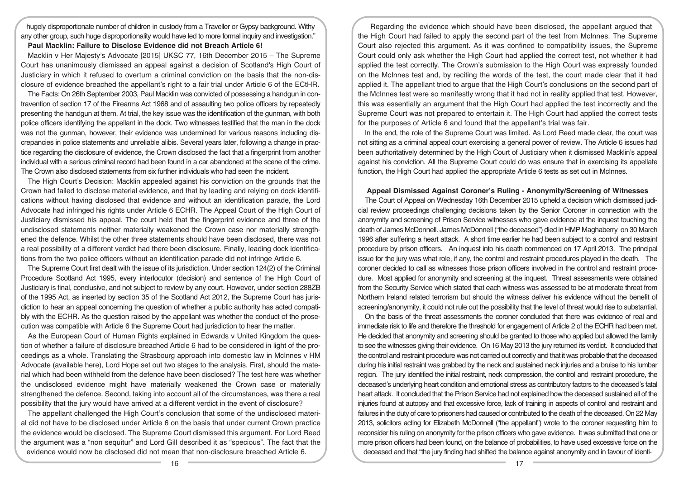hugely disproportionate number of children in custody from a Traveller or Gypsy background. Withy any other group, such huge disproportionality would have led to more formal inquiry and investigation."

**Paul Macklin: Failure to Disclose Evidence did not Breach Article 6!**

Macklin v Her Majesty's Advocate [2015] UKSC 77, 16th December 2015 – The Supreme Court has unanimously dismissed an appeal against a decision of Scotland's High Court of Justiciary in which it refused to overturn a criminal conviction on the basis that the non-disclosure of evidence breached the appellant's right to a fair trial under Article 6 of the ECtHR.

The Facts: On 26th September 2003, Paul Macklin was convicted of possessing a handgun in contravention of section 17 of the Firearms Act 1968 and of assaulting two police officers by repeatedly presenting the handgun at them. At trial, the key issue was the identification of the gunman, with both police officers identifying the appellant in the dock. Two witnesses testified that the man in the dock was not the gunman, however, their evidence was undermined for various reasons including discrepancies in police statements and unreliable alibis. Several years later, following a change in practice regarding the disclosure of evidence, the Crown disclosed the fact that a fingerprint from another individual with a serious criminal record had been found in a car abandoned at the scene of the crime. The Crown also disclosed statements from six further individuals who had seen the incident.

The High Court's Decision: Macklin appealed against his conviction on the grounds that the Crown had failed to disclose material evidence, and that by leading and relying on dock identifications without having disclosed that evidence and without an identification parade, the Lord Advocate had infringed his rights under Article 6 ECHR. The Appeal Court of the High Court of Justiciary dismissed his appeal. The court held that the fingerprint evidence and three of the undisclosed statements neither materially weakened the Crown case nor materially strengthened the defence. Whilst the other three statements should have been disclosed, there was not a real possibility of a different verdict had there been disclosure. Finally, leading dock identifications from the two police officers without an identification parade did not infringe Article 6.

The Supreme Court first dealt with the issue of its jurisdiction. Under section 124(2) of the Criminal Procedure Scotland Act 1995, every interlocutor (decision) and sentence of the High Court of Justiciary is final, conclusive, and not subject to review by any court. However, under section 288ZB of the 1995 Act, as inserted by section 35 of the Scotland Act 2012, the Supreme Court has jurisdiction to hear an appeal concerning the question of whether a public authority has acted compatibly with the ECHR. As the question raised by the appellant was whether the conduct of the prosecution was compatible with Article 6 the Supreme Court had jurisdiction to hear the matter.

As the European Court of Human Rights explained in Edwards v United Kingdom the question of whether a failure of disclosure breached Article 6 had to be considered in light of the proceedings as a whole. Translating the Strasbourg approach into domestic law in McInnes v HM Advocate (available here), Lord Hope set out two stages to the analysis. First, should the material which had been withheld from the defence have been disclosed? The test here was whether the undisclosed evidence might have materially weakened the Crown case or materially strengthened the defence. Second, taking into account all of the circumstances, was there a real possibility that the jury would have arrived at a different verdict in the event of disclosure?

The appellant challenged the High Court's conclusion that some of the undisclosed material did not have to be disclosed under Article 6 on the basis that under current Crown practice the evidence would be disclosed. The Supreme Court dismissed this argument. For Lord Reed the argument was a "non sequitur" and Lord Gill described it as "specious". The fact that the evidence would now be disclosed did not mean that non-disclosure breached Article 6.

Regarding the evidence which should have been disclosed, the appellant argued that the High Court had failed to apply the second part of the test from McInnes. The Supreme Court also rejected this argument. As it was confined to compatibility issues, the Supreme Court could only ask whether the High Court had applied the correct test, not whether it had applied the test correctly. The Crown's submission to the High Court was expressly founded on the McInnes test and, by reciting the words of the test, the court made clear that it had applied it. The appellant tried to argue that the High Court's conclusions on the second part of the McInnes test were so manifestly wrong that it had not in reality applied that test. However, this was essentially an argument that the High Court had applied the test incorrectly and the Supreme Court was not prepared to entertain it. The High Court had applied the correct tests for the purposes of Article 6 and found that the appellant's trial was fair.

In the end, the role of the Supreme Court was limited. As Lord Reed made clear, the court was not sitting as a criminal appeal court exercising a general power of review. The Article 6 issues had been authoritatively determined by the High Court of Justiciary when it dismissed Macklin's appeal against his conviction. All the Supreme Court could do was ensure that in exercising its appellate function, the High Court had applied the appropriate Article 6 tests as set out in McInnes.

## **Appeal Dismissed Against Coroner's Ruling - Anonymity/Screening of Witnesses**

The Court of Appeal on Wednesday 16th December 2015 upheld a decision which dismissed judicial review proceedings challenging decisions taken by the Senior Coroner in connection with the anonymity and screening of Prison Service witnesses who gave evidence at the inquest touching the death of James McDonnell. James McDonnell("the deceased") died in HMP Maghaberry on 30 March 1996 after suffering a heart attack. A short time earlier he had been subject to a control and restraint procedure by prison officers. An inquest into his death commenced on 17 April 2013. The principal issue for the jury was what role, if any, the control and restraint procedures played in the death. The coroner decided to call as witnesses those prison officers involved in the control and restraint procedure. Most applied for anonymity and screening at the inquest. Threat assessments were obtained from the Security Service which stated that each witness was assessed to be at moderate threat from Northern Ireland related terrorism but should the witness deliver his evidence without the benefit of screening/anonymity, it could not rule out the possibility that the level of threat would rise to substantial.

On the basis of the threat assessments the coroner concluded that there was evidence of real and immediate risk to life and therefore the threshold for engagement of Article 2 of the ECHR had been met. He decided that anonymity and screening should be granted to those who applied but allowed the family to see the witnesses giving their evidence. On 16 May 2013 the jury returned its verdict. It concluded that the control and restraint procedure was not carried out correctly and that it was probable that the deceased during his initial restraint was grabbed by the neck and sustained neck injuries and a bruise to his lumbar region. The jury identified the initial restraint, neck compression, the control and restraint procedure, the deceased's underlying heart condition and emotional stress as contributory factors to the deceased's fatal heart attack. It concluded that the Prison Service had not explained how the deceased sustained all of the injuries found at autopsy and that excessive force, lack of training in aspects of control and restraint and failures in the duty of care to prisoners had caused or contributed to the death of the deceased. On 22 May 2013, solicitors acting for Elizabeth McDonnell ("the appellant") wrote to the coroner requesting him to reconsider his ruling on anonymity for the prison officers who gave evidence. It was submitted that one or more prison officers had been found, on the balance of probabilities, to have used excessive force on the deceased and that "the jury finding had shifted the balance against anonymity and in favour of identi-